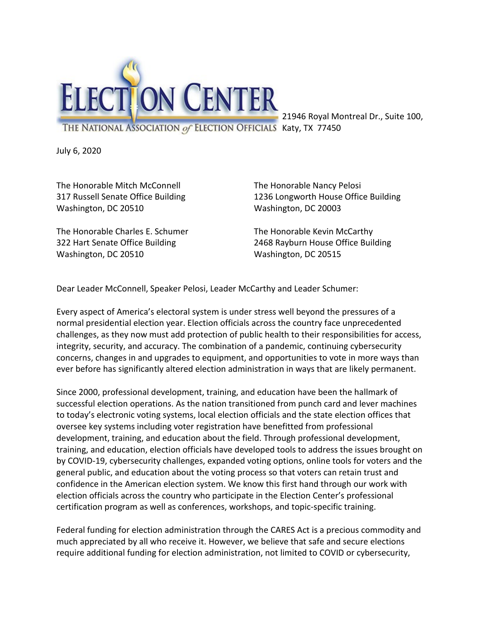

21946 Royal Montreal Dr., Suite 100, THE NATIONAL ASSOCIATION of ELECTION OFFICIALS Katy, TX 77450

July 6, 2020

The Honorable Mitch McConnell 317 Russell Senate Office Building Washington, DC 20510

The Honorable Charles E. Schumer 322 Hart Senate Office Building Washington, DC 20510

The Honorable Nancy Pelosi 1236 Longworth House Office Building Washington, DC 20003

The Honorable Kevin McCarthy 2468 Rayburn House Office Building Washington, DC 20515

Dear Leader McConnell, Speaker Pelosi, Leader McCarthy and Leader Schumer:

Every aspect of America's electoral system is under stress well beyond the pressures of a normal presidential election year. Election officials across the country face unprecedented challenges, as they now must add protection of public health to their responsibilities for access, integrity, security, and accuracy. The combination of a pandemic, continuing cybersecurity concerns, changes in and upgrades to equipment, and opportunities to vote in more ways than ever before has significantly altered election administration in ways that are likely permanent.

Since 2000, professional development, training, and education have been the hallmark of successful election operations. As the nation transitioned from punch card and lever machines to today's electronic voting systems, local election officials and the state election offices that oversee key systems including voter registration have benefitted from professional development, training, and education about the field. Through professional development, training, and education, election officials have developed tools to address the issues brought on by COVID-19, cybersecurity challenges, expanded voting options, online tools for voters and the general public, and education about the voting process so that voters can retain trust and confidence in the American election system. We know this first hand through our work with election officials across the country who participate in the Election Center's professional certification program as well as conferences, workshops, and topic-specific training.

Federal funding for election administration through the CARES Act is a precious commodity and much appreciated by all who receive it. However, we believe that safe and secure elections require additional funding for election administration, not limited to COVID or cybersecurity,